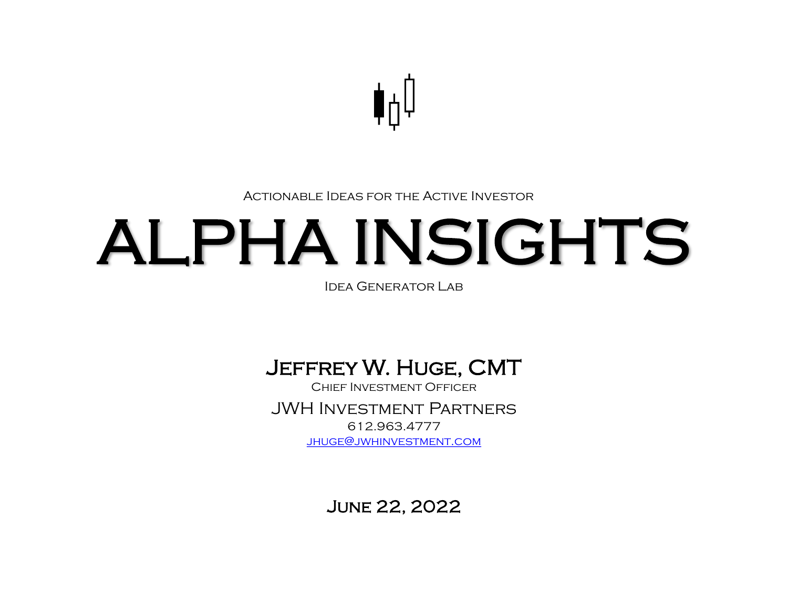

#### Actionable Ideas for the Active Investor

# ALPHA INSIGHTS

Idea Generator Lab

### Jeffrey W. Huge, CMT

Chief Investment Officer JWH Investment Partners 612.963.4777 [jhuge@jwhinvestment.com](mailto:Jhuge@jwhinvestment.com)

June 22, 2022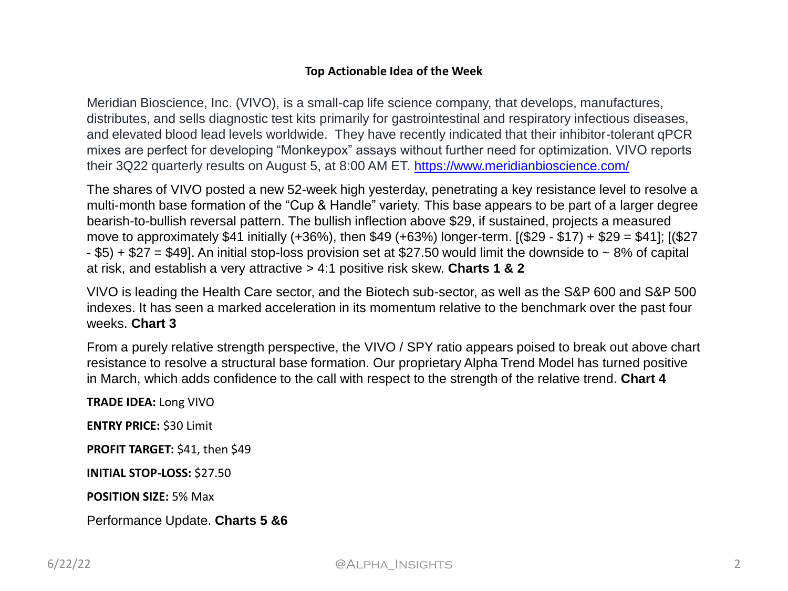#### **Top Actionable Idea of the Week**

Meridian Bioscience, Inc. (VIVO), is a small-cap life science company, that develops, manufactures, distributes, and sells diagnostic test kits primarily for gastrointestinal and respiratory infectious diseases, and elevated blood lead levels worldwide. They have recently indicated that their inhibitor-tolerant qPCR mixes are perfect for developing "Monkeypox" assays without further need for optimization. VIVO reports their 3Q22 quarterly results on August 5, at 8:00 AM ET. <https://www.meridianbioscience.com/>

The shares of VIVO posted a new 52-week high yesterday, penetrating a key resistance level to resolve a multi-month base formation of the "Cup & Handle" variety. This base appears to be part of a larger degree bearish-to-bullish reversal pattern. The bullish inflection above \$29, if sustained, projects a measured move to approximately \$41 initially (+36%), then \$49 (+63%) longer-term.  $[($29 - $17) + $29 = $41]$ ;  $[($27$  $-$  \$5) + \$27 = \$49]. An initial stop-loss provision set at \$27.50 would limit the downside to  $\sim$  8% of capital at risk, and establish a very attractive > 4:1 positive risk skew. **Charts 1 & 2**

VIVO is leading the Health Care sector, and the Biotech sub-sector, as well as the S&P 600 and S&P 500 indexes. It has seen a marked acceleration in its momentum relative to the benchmark over the past four weeks. **Chart 3**

From a purely relative strength perspective, the VIVO / SPY ratio appears poised to break out above chart resistance to resolve a structural base formation. Our proprietary Alpha Trend Model has turned positive in March, which adds confidence to the call with respect to the strength of the relative trend. **Chart 4**

**TRADE IDEA:** Long VIVO

**ENTRY PRICE:** \$30 Limit

PROFIT TARGET: \$41, then \$49

**INITIAL STOP-LOSS:** \$27.50

**POSITION SIZE:** 5% Max

Performance Update. **Charts 5 &6**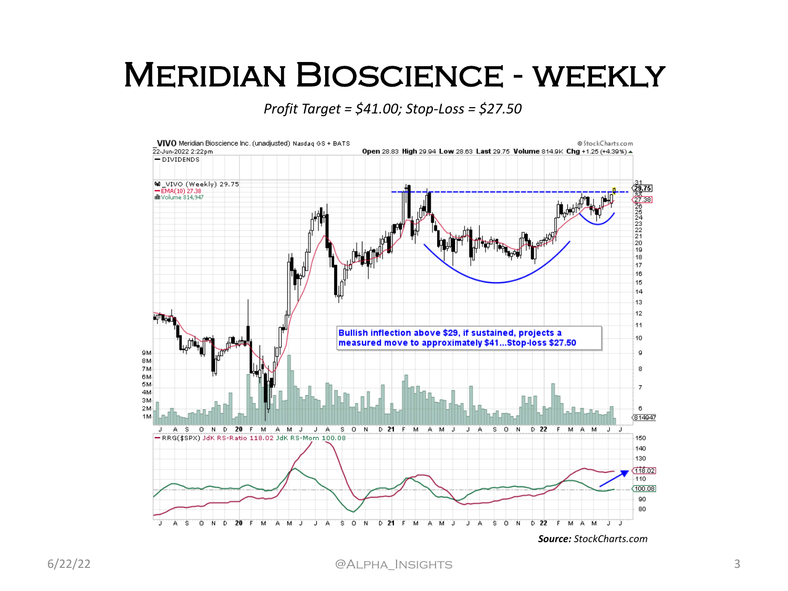### Meridian Bioscience - weekly

*Profit Target = \$41.00; Stop-Loss = \$27.50*

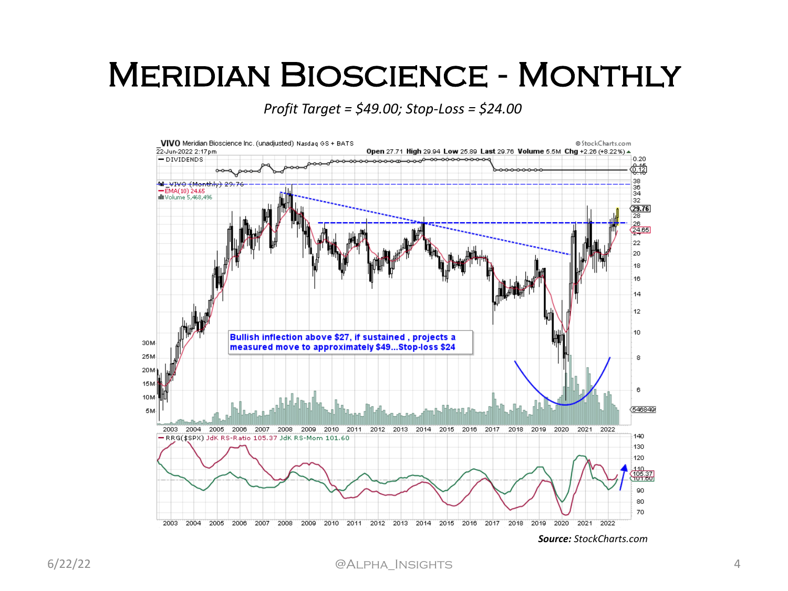### Meridian Bioscience - Monthly

*Profit Target = \$49.00; Stop-Loss = \$24.00*

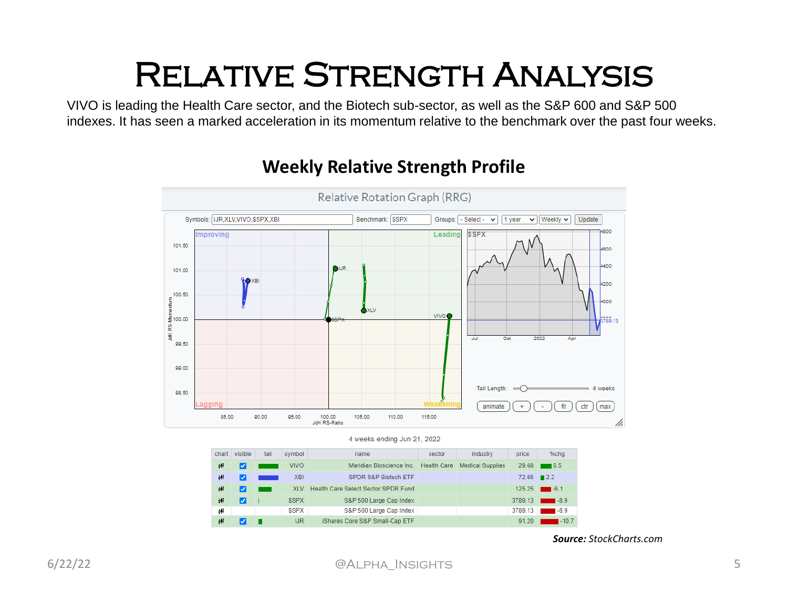# Relative Strength Analysis

VIVO is leading the Health Care sector, and the Biotech sub-sector, as well as the S&P 600 and S&P 500 indexes. It has seen a marked acceleration in its momentum relative to the benchmark over the past four weeks.



### **Weekly Relative Strength Profile**

| chart | visible | tail | symbol      | name                                | sector             | industry                | price       | %chg               |
|-------|---------|------|-------------|-------------------------------------|--------------------|-------------------------|-------------|--------------------|
| фP    | Ø       |      | <b>VIVO</b> | Meridian Bioscience Inc.            | <b>Health Care</b> | <b>Medical Supplies</b> | 29.68       | $\blacksquare$ 6.5 |
| ыF    | V       |      | <b>XBI</b>  | <b>SPDR S&amp;P Biotech ETF</b>     |                    |                         | $72.65$ 2.2 |                    |
| 60P   | u       |      | <b>XIV</b>  | Health Care Select Sector SPDR Fund |                    |                         |             | $125.25$ $-6.1$    |
| 岬     | ✓       |      | <b>SSPX</b> | S&P 500 Large Cap Index             |                    |                         | 3789.13     | $-8.9$             |
| фP    |         |      | <b>SSPX</b> | S&P 500 Large Cap Index             |                    |                         | 3789.13     | $-8.9$             |
| off   |         |      | IJR         | iShares Core S&P Small-Cap ETF      |                    |                         | 91.20       | $-10.7$            |

*Source: StockCharts.com*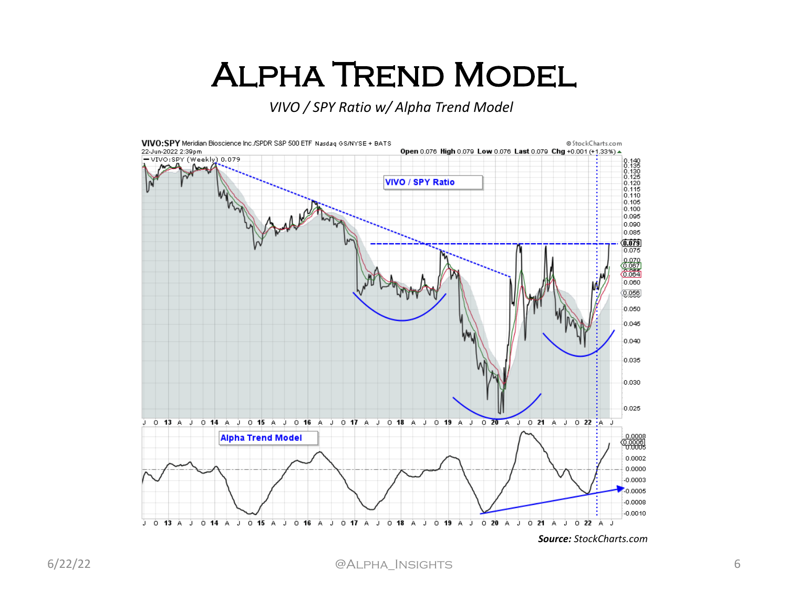## Alpha Trend Model

*VIVO / SPY Ratio w/ Alpha Trend Model* 

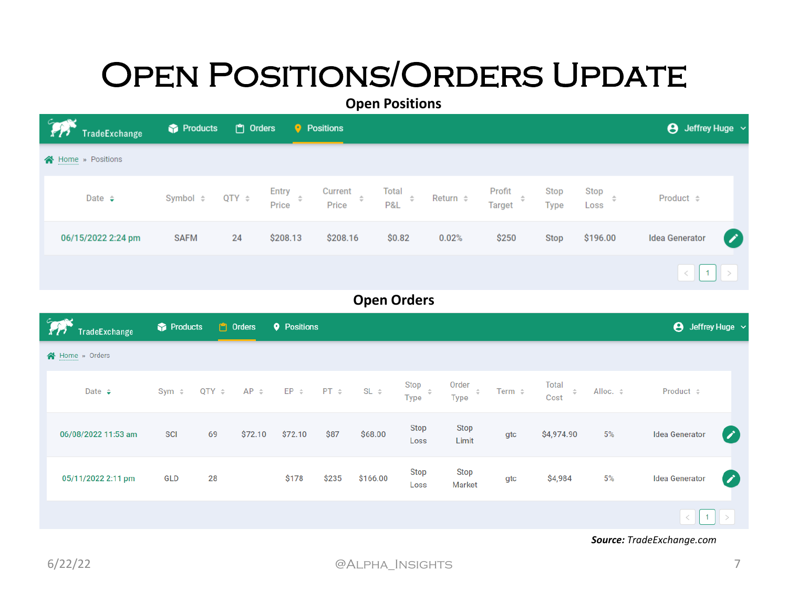# **OPEN POSITIONS/ORDERS UPDATE**

**Open Positions**

| <b>PA</b><br>TradeExchange | Products    | n Orders   |                | <b>P</b> Positions                  |                        |                  |                                      |              |                           | $\Theta$ Jeffrey Huge $\sim$ |  |
|----------------------------|-------------|------------|----------------|-------------------------------------|------------------------|------------------|--------------------------------------|--------------|---------------------------|------------------------------|--|
| Home » Positions           |             |            |                |                                     |                        |                  |                                      |              |                           |                              |  |
| Date $\div$                | Symbol ≑    | QTY $\div$ | Entry<br>Price | Current<br>$\frac{1}{\pi}$<br>Price | Total<br>$\div$<br>P&L | Return $\hat{z}$ | Profit<br>$\hat{=}$<br><b>Target</b> | Stop<br>Type | Stop<br>$\hat{=}$<br>Loss | Product $\div$               |  |
| 06/15/2022 2:24 pm         | <b>SAFM</b> | 24         | \$208.13       | \$208.16                            | \$0.82                 | 0.02%            | \$250                                | Stop         | \$196.00                  | <b>Idea Generator</b><br>∕   |  |
|                            |             |            |                |                                     |                        |                  |                                      |              |                           | $\vert$ 1<br>$\langle$ $ $   |  |

### **Open Orders**

| <b>The TradeExchange</b> | Products   |            | $\mathbb{F}$ Orders | <b>Q</b> Positions |       |                             |              |                                |             |                   |               | $\Theta$ Jeffrey Huge $\sim$ |                  |
|--------------------------|------------|------------|---------------------|--------------------|-------|-----------------------------|--------------|--------------------------------|-------------|-------------------|---------------|------------------------------|------------------|
| Home » Orders            |            |            |                     |                    |       |                             |              |                                |             |                   |               |                              |                  |
| Date $\div$              | $Sym \div$ | $QTY \div$ | $AP \div$           |                    |       | $EP \div P T \div S L \div$ | Stop<br>Type | Order $\hat{z}$<br><b>Type</b> | Term $\div$ | Total<br>$\cos t$ | Alloc. $\div$ | Product $\div$               |                  |
| 06/08/2022 11:53 am      | <b>SCI</b> | 69         | \$72.10             | \$72.10            | \$87  | \$68.00                     | Stop<br>Loss | Stop<br>Limit                  | gtc         | \$4,974.90        | 5%            | <b>Idea Generator</b>        | $\mathscr{S}$    |
| 05/11/2022 2:11 pm       | <b>GLD</b> | 28         |                     | \$178              | \$235 | \$166.00                    | Stop<br>Loss | Stop<br><b>Market</b>          | gtc         | \$4,984           | 5%            | <b>Idea Generator</b>        | $\boldsymbol{Z}$ |
|                          |            |            |                     |                    |       |                             |              |                                |             |                   |               |                              |                  |

*Source: TradeExchange.com*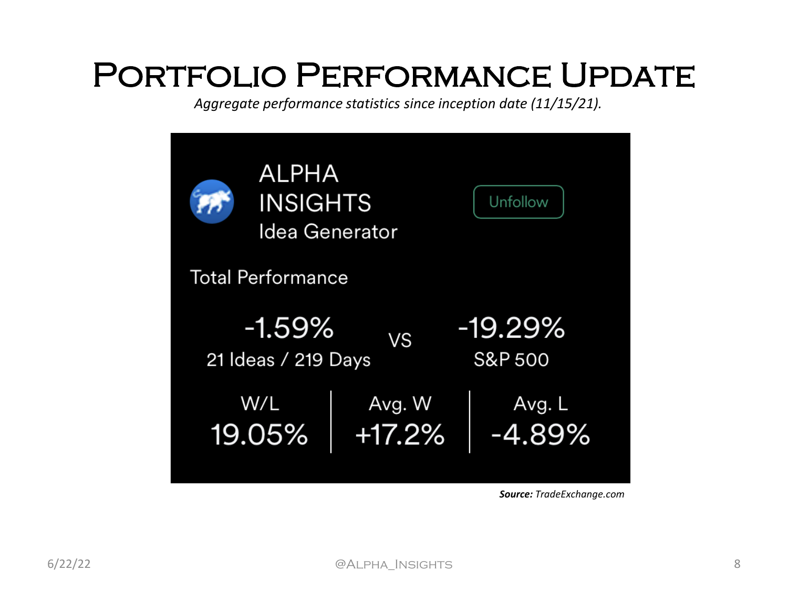## Portfolio Performance Update

*Aggregate performance statistics since inception date (11/15/21).*



*Source: TradeExchange.com*